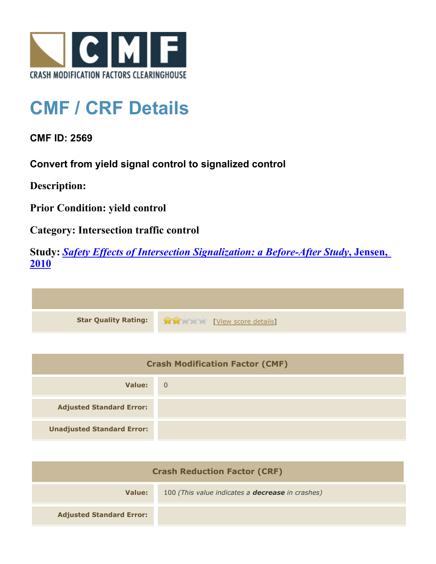

## **CMF / CRF Details**

**CMF ID: 2569**

**Convert from yield signal control to signalized control**

**Description:** 

**Prior Condition: yield control**

**Category: Intersection traffic control**

**Study:** *[Safety Effects of Intersection Signalization: a Before-After Study](http://www.cmfclearinghouse.org/study_detail.cfm?stid=170)***[, Jensen,](http://www.cmfclearinghouse.org/study_detail.cfm?stid=170) [2010](http://www.cmfclearinghouse.org/study_detail.cfm?stid=170)**



| <b>Crash Modification Factor (CMF)</b> |                |
|----------------------------------------|----------------|
| Value:                                 | $\overline{0}$ |
| <b>Adjusted Standard Error:</b>        |                |
| <b>Unadjusted Standard Error:</b>      |                |

| <b>Crash Reduction Factor (CRF)</b> |                                                         |
|-------------------------------------|---------------------------------------------------------|
| Value:                              | 100 (This value indicates a <b>decrease</b> in crashes) |
| <b>Adjusted Standard Error:</b>     |                                                         |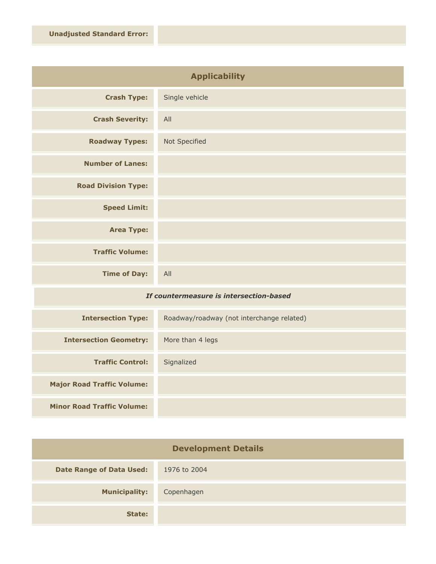| <b>Applicability</b>       |                |
|----------------------------|----------------|
| <b>Crash Type:</b>         | Single vehicle |
| <b>Crash Severity:</b>     | All            |
| <b>Roadway Types:</b>      | Not Specified  |
| <b>Number of Lanes:</b>    |                |
| <b>Road Division Type:</b> |                |
| <b>Speed Limit:</b>        |                |
| <b>Area Type:</b>          |                |
| <b>Traffic Volume:</b>     |                |
| <b>Time of Day:</b>        | All            |

## *If countermeasure is intersection-based*

| <b>Intersection Type:</b>         | Roadway/roadway (not interchange related) |
|-----------------------------------|-------------------------------------------|
| <b>Intersection Geometry:</b>     | More than 4 legs                          |
| <b>Traffic Control:</b>           | Signalized                                |
| <b>Major Road Traffic Volume:</b> |                                           |
| <b>Minor Road Traffic Volume:</b> |                                           |

| <b>Development Details</b>      |              |
|---------------------------------|--------------|
| <b>Date Range of Data Used:</b> | 1976 to 2004 |
| <b>Municipality:</b>            | Copenhagen   |
| State:                          |              |